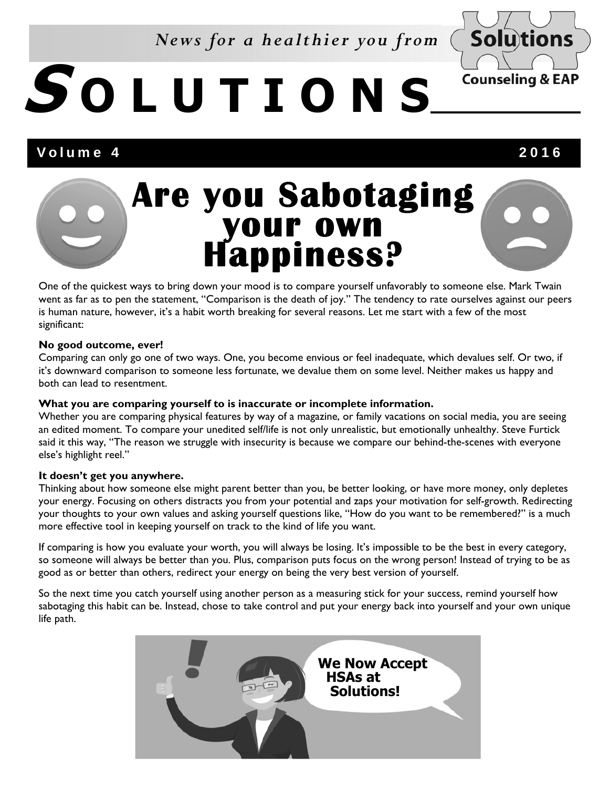# *News for a healthier you from*

# **S OLUTIONS**

# Volume 4 2016

**Solutions** 

**Counseling & EAP** 

# **Are you Sabotaging your own Happiness?**

One of the quickest ways to bring down your mood is to compare yourself unfavorably to someone else. Mark Twain went as far as to pen the statement, "Comparison is the death of joy." The tendency to rate ourselves against our peers is human nature, however, it's a habit worth breaking for several reasons. Let me start with a few of the most significant:

### **No good outcome, ever!**

Comparing can only go one of two ways. One, you become envious or feel inadequate, which devalues self. Or two, if it's downward comparison to someone less fortunate, we devalue them on some level. Neither makes us happy and both can lead to resentment.

#### **What you are comparing yourself to is inaccurate or incomplete information.**

Whether you are comparing physical features by way of a magazine, or family vacations on social media, you are seeing an edited moment. To compare your unedited self/life is not only unrealistic, but emotionally unhealthy. Steve Furtick said it this way, "The reason we struggle with insecurity is because we compare our behind-the-scenes with everyone else's highlight reel."

## **It doesn't get you anywhere.**

Thinking about how someone else might parent better than you, be better looking, or have more money, only depletes your energy. Focusing on others distracts you from your potential and zaps your motivation for self-growth. Redirecting your thoughts to your own values and asking yourself questions like, "How do you want to be remembered?" is a much more effective tool in keeping yourself on track to the kind of life you want.

If comparing is how you evaluate your worth, you will always be losing. It's impossible to be the best in every category, so someone will always be better than you. Plus, comparison puts focus on the wrong person! Instead of trying to be as good as or better than others, redirect your energy on being the very best version of yourself.

So the next time you catch yourself using another person as a measuring stick for your success, remind yourself how sabotaging this habit can be. Instead, chose to take control and put your energy back into yourself and your own unique life path.